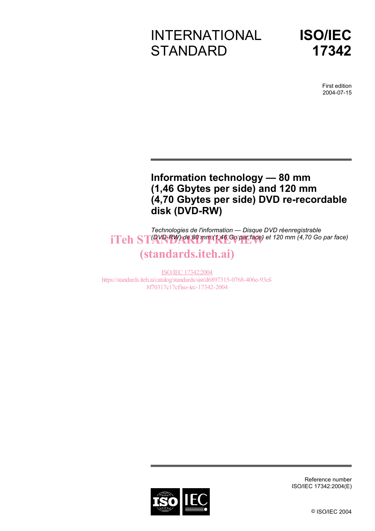# INTERNATIONAL **STANDARD**



First edition 2004-07-15

# **Information technology — 80 mm (1,46 Gbytes per side) and 120 mm (4,70 Gbytes per side) DVD re-recordable disk (DVD-RW)**

*Technologies de l'information — Disque DVD réenregistrable*  **iTeh STAYPFRW) de 80 mm (1,46 Go par face)** et 120 mm (4,70 Go par face)

# (standards.iteh.ai)

ISO/IEC 17342:2004 https://standards.iteh.ai/catalog/standards/sist/d6897315-0768-406e-93ef-8f70317c17cf/iso-iec-17342-2004



Reference number ISO/IEC 17342:2004(E)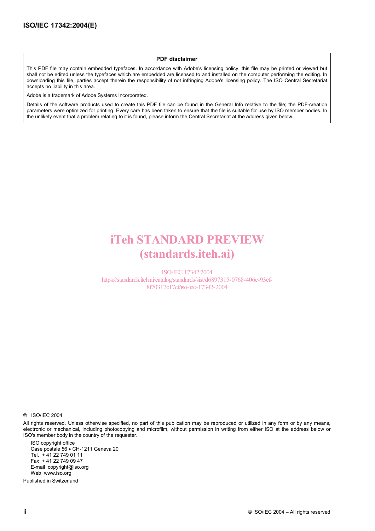#### **PDF disclaimer**

This PDF file may contain embedded typefaces. In accordance with Adobe's licensing policy, this file may be printed or viewed but shall not be edited unless the typefaces which are embedded are licensed to and installed on the computer performing the editing. In downloading this file, parties accept therein the responsibility of not infringing Adobe's licensing policy. The ISO Central Secretariat accepts no liability in this area.

Adobe is a trademark of Adobe Systems Incorporated.

Details of the software products used to create this PDF file can be found in the General Info relative to the file; the PDF-creation parameters were optimized for printing. Every care has been taken to ensure that the file is suitable for use by ISO member bodies. In the unlikely event that a problem relating to it is found, please inform the Central Secretariat at the address given below.

# iTeh STANDARD PREVIEW (standards.iteh.ai)

ISO/IEC 17342:2004 https://standards.iteh.ai/catalog/standards/sist/d6897315-0768-406e-93ef-8f70317c17cf/iso-iec-17342-2004

© ISO/IEC 2004

All rights reserved. Unless otherwise specified, no part of this publication may be reproduced or utilized in any form or by any means, electronic or mechanical, including photocopying and microfilm, without permission in writing from either ISO at the address below or ISO's member body in the country of the requester.

ISO copyright office Case postale 56 • CH-1211 Geneva 20 Tel. + 41 22 749 01 11 Fax + 41 22 749 09 47 E-mail copyright@iso.org Web www.iso.org

Published in Switzerland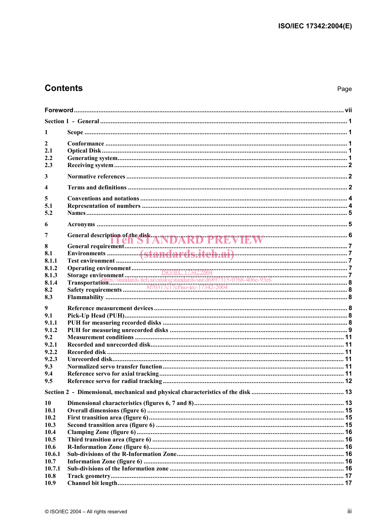# **Contents**

| 1                |                                                |  |
|------------------|------------------------------------------------|--|
|                  |                                                |  |
| $\mathbf{2}$     |                                                |  |
| 2.1              |                                                |  |
| 2.2              |                                                |  |
| 2.3              |                                                |  |
| $\mathbf{3}$     |                                                |  |
| $\boldsymbol{4}$ |                                                |  |
| 5                |                                                |  |
| 5.1              |                                                |  |
| 5.2              |                                                |  |
|                  |                                                |  |
| 6                |                                                |  |
| 7                |                                                |  |
|                  | General description of the disk ANDARD PREVIEW |  |
| 8<br>8.1         |                                                |  |
| 8.1.1            |                                                |  |
| 8.1.2            |                                                |  |
| 8.1.3            |                                                |  |
| 8.1.4            |                                                |  |
| 8.2              |                                                |  |
| 8.3              |                                                |  |
| 9                |                                                |  |
| 9.1              |                                                |  |
| 9.1.1            |                                                |  |
| 9.1.2            |                                                |  |
| 9.2              |                                                |  |
| 9.2.1            |                                                |  |
| 9.2.2            |                                                |  |
| 9.2.3            |                                                |  |
| 9.3              |                                                |  |
| 9.4              |                                                |  |
| 9.5              |                                                |  |
|                  |                                                |  |
| 10               |                                                |  |
| 10.1             |                                                |  |
| 10.2             |                                                |  |
| 10.3             |                                                |  |
| 10.4             |                                                |  |
| 10.5             |                                                |  |
| 10.6             |                                                |  |
| 10.6.1<br>10.7   |                                                |  |
| 10.7.1           |                                                |  |
| 10.8             |                                                |  |
| 10.9             |                                                |  |
|                  |                                                |  |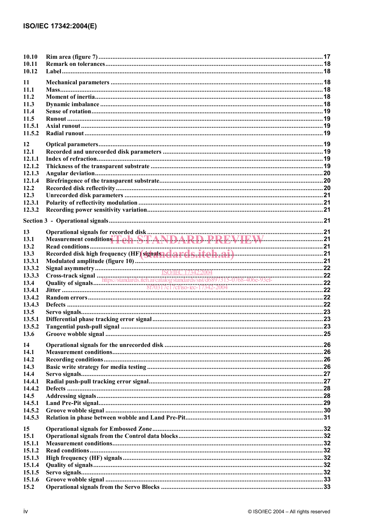| 10.10<br>10.11   |                                                               |  |
|------------------|---------------------------------------------------------------|--|
| 10.12            |                                                               |  |
| 11               |                                                               |  |
| 11.1             |                                                               |  |
| 11.2             |                                                               |  |
| 11.3             |                                                               |  |
| 11.4             |                                                               |  |
| 11.5             |                                                               |  |
| 11.5.1           |                                                               |  |
| 11.5.2           |                                                               |  |
| 12               |                                                               |  |
| 12.1             |                                                               |  |
| 12.1.1<br>12.1.2 |                                                               |  |
| 12.1.3           |                                                               |  |
| 12.1.4           |                                                               |  |
| 12.2             |                                                               |  |
| 12.3             |                                                               |  |
| 12.3.1           |                                                               |  |
| 12.3.2           |                                                               |  |
|                  |                                                               |  |
|                  |                                                               |  |
| 13               |                                                               |  |
| 13.1             | Measurement conditions Teh STANDARD PREVIEW                   |  |
| 13.2             | Recorded disk high frequency (HF) sighals and a rds. iteh.ai) |  |
| 13.3<br>13.3.1   |                                                               |  |
| 13.3.2           |                                                               |  |
| 13.3.3           |                                                               |  |
| 13.4             |                                                               |  |
| 13.4.1           |                                                               |  |
| 13.4.2           |                                                               |  |
| 13.4.3           |                                                               |  |
| 13.5             |                                                               |  |
| 13.5.1           |                                                               |  |
| 13.5.2           |                                                               |  |
| 13.6             |                                                               |  |
| 14               |                                                               |  |
| 14.1             |                                                               |  |
| 14.2             |                                                               |  |
| 14.3             |                                                               |  |
| 14.4             |                                                               |  |
| 14.4.1           |                                                               |  |
| 14.4.2           |                                                               |  |
| 14.5             |                                                               |  |
| 14.5.1           |                                                               |  |
| 14.5.2<br>14.5.3 |                                                               |  |
|                  |                                                               |  |
| 15               |                                                               |  |
| 15.1             |                                                               |  |
| 15.1.1           |                                                               |  |
| 15.1.2           |                                                               |  |
| 15.1.3           |                                                               |  |
| 15.1.4<br>15.1.5 |                                                               |  |
| 15.1.6           |                                                               |  |
| 15.2             |                                                               |  |
|                  |                                                               |  |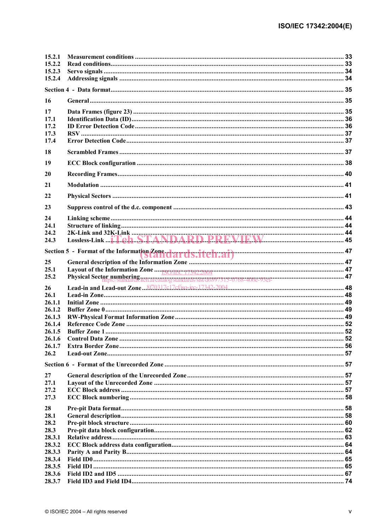| 15.2.1           |                                                                                  |  |
|------------------|----------------------------------------------------------------------------------|--|
| 15.2.2           |                                                                                  |  |
| 15.2.3           |                                                                                  |  |
| 15.2.4           |                                                                                  |  |
|                  |                                                                                  |  |
| 16               |                                                                                  |  |
| 17               |                                                                                  |  |
| 17.1             |                                                                                  |  |
| 17.2             |                                                                                  |  |
| 17.3             |                                                                                  |  |
| 17.4             |                                                                                  |  |
| 18               |                                                                                  |  |
| 19               |                                                                                  |  |
| 20               |                                                                                  |  |
| 21               |                                                                                  |  |
| 22               |                                                                                  |  |
| 23               |                                                                                  |  |
| 24               |                                                                                  |  |
| 24.1             |                                                                                  |  |
| 24.2             |                                                                                  |  |
| 24.3             |                                                                                  |  |
|                  |                                                                                  |  |
|                  |                                                                                  |  |
| 25.1             |                                                                                  |  |
| 25.2             | Physical Sector numbering<br>173722007<br>Thysical Sector numbering<br>175722007 |  |
| 26               |                                                                                  |  |
| 26.1             |                                                                                  |  |
| 26.1.1           |                                                                                  |  |
| 26.1.2           |                                                                                  |  |
| 26.1.3           |                                                                                  |  |
| 26.1.4           |                                                                                  |  |
| 26.1.5           |                                                                                  |  |
| 26.1.6           |                                                                                  |  |
| 26.1.7           |                                                                                  |  |
| 26.2             |                                                                                  |  |
|                  |                                                                                  |  |
| 27               |                                                                                  |  |
| 27.1             |                                                                                  |  |
|                  |                                                                                  |  |
| 27.2             |                                                                                  |  |
| 27.3             |                                                                                  |  |
|                  |                                                                                  |  |
| 28               |                                                                                  |  |
| 28.1             |                                                                                  |  |
| 28.2             |                                                                                  |  |
| 28.3             |                                                                                  |  |
| 28.3.1           |                                                                                  |  |
| 28.3.2           |                                                                                  |  |
| 28.3.3           |                                                                                  |  |
| 28.3.4<br>28.3.5 |                                                                                  |  |
| 28.3.6           |                                                                                  |  |
| 28.3.7           |                                                                                  |  |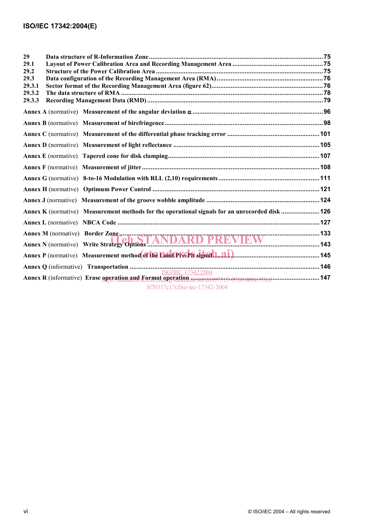| 29.2<br>29.3<br>29.3.1<br>29.3.2<br>29.3.3<br>Annex K (normative) Measurement methods for the operational signals for an unrecorded disk  126 | 29   |  |
|-----------------------------------------------------------------------------------------------------------------------------------------------|------|--|
|                                                                                                                                               | 29.1 |  |
|                                                                                                                                               |      |  |
|                                                                                                                                               |      |  |
|                                                                                                                                               |      |  |
|                                                                                                                                               |      |  |
|                                                                                                                                               |      |  |
|                                                                                                                                               |      |  |
|                                                                                                                                               |      |  |
|                                                                                                                                               |      |  |
|                                                                                                                                               |      |  |
|                                                                                                                                               |      |  |
|                                                                                                                                               |      |  |
|                                                                                                                                               |      |  |
|                                                                                                                                               |      |  |
|                                                                                                                                               |      |  |
|                                                                                                                                               |      |  |
|                                                                                                                                               |      |  |
|                                                                                                                                               |      |  |
|                                                                                                                                               |      |  |
|                                                                                                                                               |      |  |
|                                                                                                                                               |      |  |
|                                                                                                                                               |      |  |
| 8f70317c17cf/iso-iec-17342-2004                                                                                                               |      |  |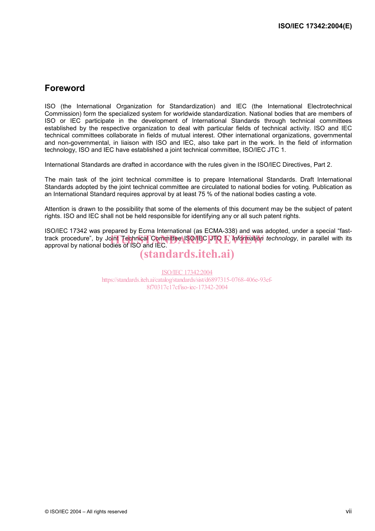# **Foreword**

ISO (the International Organization for Standardization) and IEC (the International Electrotechnical Commission) form the specialized system for worldwide standardization. National bodies that are members of ISO or IEC participate in the development of International Standards through technical committees established by the respective organization to deal with particular fields of technical activity. ISO and IEC technical committees collaborate in fields of mutual interest. Other international organizations, governmental and non-governmental, in liaison with ISO and IEC, also take part in the work. In the field of information technology, ISO and IEC have established a joint technical committee, ISO/IEC JTC 1.

International Standards are drafted in accordance with the rules given in the ISO/IEC Directives, Part 2.

The main task of the joint technical committee is to prepare International Standards. Draft International Standards adopted by the joint technical committee are circulated to national bodies for voting. Publication as an International Standard requires approval by at least 75 % of the national bodies casting a vote.

Attention is drawn to the possibility that some of the elements of this document may be the subject of patent rights. ISO and IEC shall not be held responsible for identifying any or all such patent rights.

ISO/IEC 17342 was prepared by Ecma International (as ECMA-338) and was adopted, under a special "fasttrack procedure", by Jo<mark>int Technical Committee ISO/IEC DTO 1, *Information technology*, in parallel with its <br>approval by national bodies of ISO and IEC</mark> approval by national bodies of ISO and IEC.

# (standards.iteh.ai)

ISO/IEC 17342:2004 https://standards.iteh.ai/catalog/standards/sist/d6897315-0768-406e-93ef-8f70317c17cf/iso-iec-17342-2004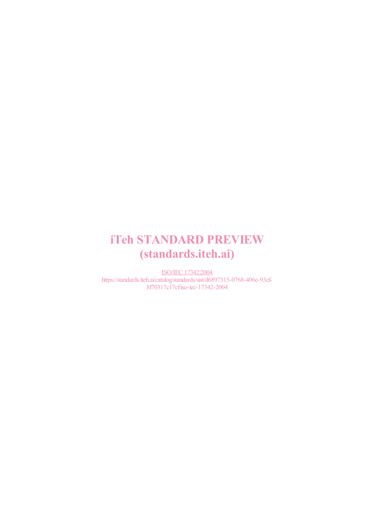# iTeh STANDARD PREVIEW (standards.iteh.ai)

ISO/IEC 17342:2004 https://standards.iteh.ai/catalog/standards/sist/d6897315-0768-406e-93ef-8f70317c17cf/iso-iec-17342-2004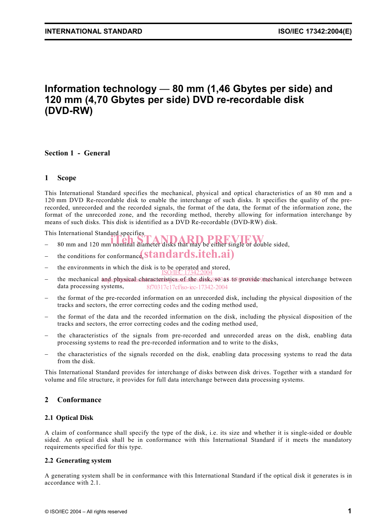# **Information technology** — **80 mm (1,46 Gbytes per side) and 120 mm (4,70 Gbytes per side) DVD re-recordable disk (DVD-RW)**

# **Section 1 - General**

# **1 Scope**

This International Standard specifies the mechanical, physical and optical characteristics of an 80 mm and a 120 mm DVD Re-recordable disk to enable the interchange of such disks. It specifies the quality of the prerecorded, unrecorded and the recorded signals, the format of the data, the format of the information zone, the format of the unrecorded zone, and the recording method, thereby allowing for information interchange by means of such disks. This disk is identified as a DVD Re-recordable (DVD-RW) disk.

This International Standard specifies

- This international standard specifies<br>
 80 mm and 120 mm nominal diameter disks that may be either single or double sided,
- 
- − the conditions for conformance, standards.iteh.ai)
- − the environments in which the disk is to be operated and stored,<br>ISO/IEC 17342:2004
- − the mechanical and physical characteristics of the disk, so3a5-to provide mechanical interchange between data processing systems, 8f70317c17cf/iso-iec-17342-2004
- − the format of the pre-recorded information on an unrecorded disk, including the physical disposition of the tracks and sectors, the error correcting codes and the coding method used,
- the format of the data and the recorded information on the disk, including the physical disposition of the tracks and sectors, the error correcting codes and the coding method used,
- the characteristics of the signals from pre-recorded and unrecorded areas on the disk, enabling data processing systems to read the pre-recorded information and to write to the disks,
- the characteristics of the signals recorded on the disk, enabling data processing systems to read the data from the disk.

This International Standard provides for interchange of disks between disk drives. Together with a standard for volume and file structure, it provides for full data interchange between data processing systems.

## **2 Conformance**

#### **2.1 Optical Disk**

A claim of conformance shall specify the type of the disk, i.e. its size and whether it is single-sided or double sided. An optical disk shall be in conformance with this International Standard if it meets the mandatory requirements specified for this type.

#### **2.2 Generating system**

A generating system shall be in conformance with this International Standard if the optical disk it generates is in accordance with 2.1.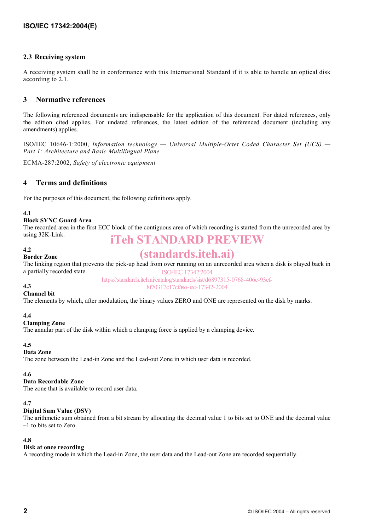## **2.3 Receiving system**

A receiving system shall be in conformance with this International Standard if it is able to handle an optical disk according to 2.1.

# **3 Normative references**

The following referenced documents are indispensable for the application of this document. For dated references, only the edition cited applies. For undated references, the latest edition of the referenced document (including any amendments) applies.

ISO/IEC 10646-1:2000, *Information technology — Universal Multiple-Octet Coded Character Set (UCS) — Part 1: Architecture and Basic Multilingual Plane* 

ECMA-287:2002, *Safety of electronic equipment* 

# **4 Terms and definitions**

For the purposes of this document, the following definitions apply.

#### **4.1**

## **Block SYNC Guard Area**

The recorded area in the first ECC block of the contiguous area of which recording is started from the unrecorded area by using 32K-Link. iTeh STANDARD PREVIEW

#### **4.2**

# (standards.iteh.ai)

The linking region that prevents the pick-up head from over running on an unrecorded area when a disk is played back in a partially recorded state. ISO/IEC 17342:2004

https://standards.iteh.ai/catalog/standards/sist/d6897315-0768-406e-93ef-8f70317c17cf/iso-iec-17342-2004

#### **4.3**

#### **Channel bit**

**Border Zone** 

The elements by which, after modulation, the binary values ZERO and ONE are represented on the disk by marks.

#### **4.4**

#### **Clamping Zone**

The annular part of the disk within which a clamping force is applied by a clamping device.

#### **4.5**

## **Data Zone**

The zone between the Lead-in Zone and the Lead-out Zone in which user data is recorded.

# **4.6**

# **Data Recordable Zone**

The zone that is available to record user data.

# **4.7**

# **Digital Sum Value (DSV)**

The arithmetic sum obtained from a bit stream by allocating the decimal value 1 to bits set to ONE and the decimal value –1 to bits set to Zero.

#### **4.8**

#### **Disk at once recording**

A recording mode in which the Lead-in Zone, the user data and the Lead-out Zone are recorded sequentially.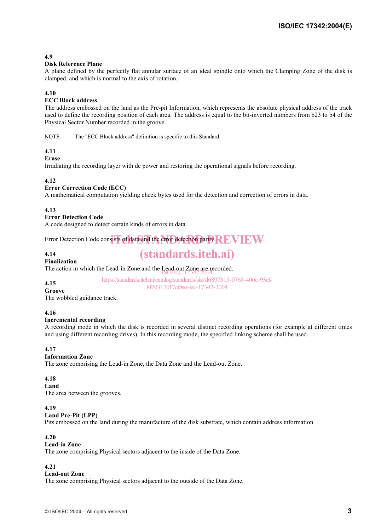# **4.9**

#### **Disk Reference Plane**

A plane defined by the perfectly flat annular surface of an ideal spindle onto which the Clamping Zone of the disk is clamped, and which is normal to the axis of rotation.

#### **4.10**

#### **ECC Block address**

The address embossed on the land as the Pre-pit Information, which represents the absolute physical address of the track used to define the recording position of each area. The address is equal to the bit-inverted numbers from b23 to b4 of the Physical Sector Number recorded in the groove.

NOTE The "ECC Block address" definition is specific to this Standard.

#### **4.11**

**Erase** 

Irradiating the recording layer with dc power and restoring the operational signals before recording.

#### **4.12**

#### **Error Correction Code (ECC)**

A mathematical computation yielding check bytes used for the detection and correction of errors in data.

#### **4.13**

#### **Error Detection Code**

A code designed to detect certain kinds of errors in data.

Error Detection Code consists of data and the error detection parity. REVIEW

#### **4.14**

# (standards.iteh.ai)

# **Finalization**

The action in which the Lead-in Zone and the Lead-out Zone are recorded.<br>SO/IEC 17342:2004

# **4.15**

https://standards.iteh.ai/catalog/standards/sist/d6897315-0768-406e-93ef-8f70317c17cf/iso-iec-17342-2004

#### **Groove**

The wobbled guidance track.

#### **4.16**

#### **Incremental recording**

A recording mode in which the disk is recorded in several distinct recording operations (for example at different times and using different recording drives). In this recording mode, the specified linking scheme shall be used.

#### **4.17**

#### **Information Zone**

The zone comprising the Lead-in Zone, the Data Zone and the Lead-out Zone.

## **4.18**

**Land**  The area between the grooves.

#### **4.19**

#### **Land Pre-Pit (LPP)**

Pits embossed on the land during the manufacture of the disk substrate, which contain address information.

#### **4.20**

## **Lead-in Zone**

The zone comprising Physical sectors adjacent to the inside of the Data Zone.

## **4.21**

#### **Lead-out Zone**

The zone comprising Physical sectors adjacent to the outside of the Data Zone.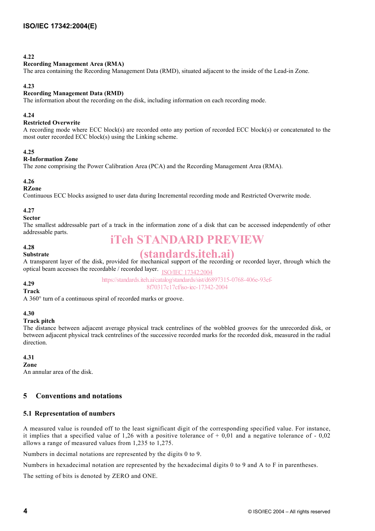## **4.22**

#### **Recording Management Area (RMA)**

The area containing the Recording Management Data (RMD), situated adjacent to the inside of the Lead-in Zone.

#### **4.23**

#### **Recording Management Data (RMD)**

The information about the recording on the disk, including information on each recording mode.

#### **4.24**

#### **Restricted Overwrite**

A recording mode where ECC block(s) are recorded onto any portion of recorded ECC block(s) or concatenated to the most outer recorded ECC block(s) using the Linking scheme.

#### **4.25**

#### **R-Information Zone**

The zone comprising the Power Calibration Area (PCA) and the Recording Management Area (RMA).

#### **4.26**

#### **RZone**

Continuous ECC blocks assigned to user data during Incremental recording mode and Restricted Overwrite mode.

## **4.27**

#### **Sector**

The smallest addressable part of a track in the information zone of a disk that can be accessed independently of other addressable parts.

# **4.28**

# iTeh STANDARD PREVIEW

#### **Substrate**

# (standards.iteh.ai)

A transparent layer of the disk, provided for mechanical support of the recording or recorded layer, through which the optical beam accesses the recordable / recorded layer. ISO/IEC 17342:2004

> https://standards.iteh.ai/catalog/standards/sist/d6897315-0768-406e-93ef-8f70317c17cf/iso-iec-17342-2004

#### **4.29 Track**

A 360° turn of a continuous spiral of recorded marks or groove.

#### **4.30**

#### **Track pitch**

The distance between adjacent average physical track centrelines of the wobbled grooves for the unrecorded disk, or between adjacent physical track centrelines of the successive recorded marks for the recorded disk, measured in the radial direction.

# **4.31**

## **Zone**

An annular area of the disk.

# **5 Conventions and notations**

# **5.1 Representation of numbers**

A measured value is rounded off to the least significant digit of the corresponding specified value. For instance, it implies that a specified value of 1,26 with a positive tolerance of  $+$  0,01 and a negative tolerance of - 0,02 allows a range of measured values from 1,235 to 1,275.

Numbers in decimal notations are represented by the digits 0 to 9.

Numbers in hexadecimal notation are represented by the hexadecimal digits 0 to 9 and A to F in parentheses.

The setting of bits is denoted by ZERO and ONE.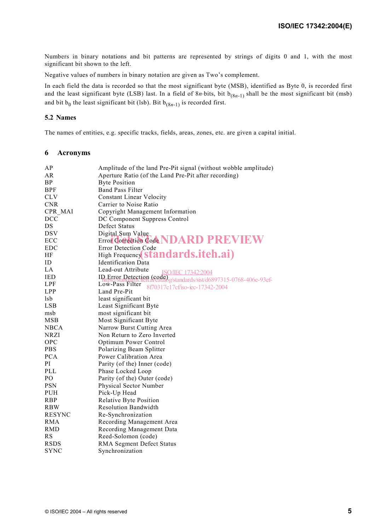Numbers in binary notations and bit patterns are represented by strings of digits 0 and 1, with the most significant bit shown to the left.

Negative values of numbers in binary notation are given as Two's complement.

In each field the data is recorded so that the most significant byte (MSB), identified as Byte 0, is recorded first and the least significant byte (LSB) last. In a field of  $8n \cdot bits$ , bit  $b_{(8n-1)}$  shall be the most significant bit (msb) and bit  $b_0$  the least significant bit (lsb). Bit  $b_{(8n-1)}$  is recorded first.

#### **5.2 Names**

The names of entities, e.g. specific tracks, fields, areas, zones, etc. are given a capital initial.

#### **6 Acronyms**

| ΑP            | Amplitude of the land Pre-Pit signal (without wobble amplitude)                                        |
|---------------|--------------------------------------------------------------------------------------------------------|
| AR            | Aperture Ratio (of the Land Pre-Pit after recording)                                                   |
| <b>BP</b>     | <b>Byte Position</b>                                                                                   |
| <b>BPF</b>    | <b>Band Pass Filter</b>                                                                                |
| <b>CLV</b>    | <b>Constant Linear Velocity</b>                                                                        |
| <b>CNR</b>    | Carrier to Noise Ratio                                                                                 |
| CPR MAI       | Copyright Management Information                                                                       |
| <b>DCC</b>    | DC Component Suppress Control                                                                          |
| DS            | Defect Status                                                                                          |
| <b>DSV</b>    | Digital Sum Value                                                                                      |
| ECC           | Error Coffection Code NDARD PREVIEW                                                                    |
| <b>EDC</b>    | Error Detection Code                                                                                   |
| HF            | High Frequency <b>Standards.itch.ai</b> )                                                              |
| ID            | <b>Identification Data</b>                                                                             |
| LA            | Lead-out Attribute<br><b>ISO/IEC</b><br>7342:2004                                                      |
| <b>IED</b>    | ID Error Detection (code)<br>https://standards.iich.av.catalog/standards/sist/d6897315-0768-406e-93ef- |
| LPF           | Low-Pass Filter<br>8f70317c17cf/iso-iec-17342-2004                                                     |
| <b>LPP</b>    | Land Pre-Pit                                                                                           |
| lsb           | least significant bit                                                                                  |
| <b>LSB</b>    | Least Significant Byte                                                                                 |
| msb           | most significant bit                                                                                   |
| <b>MSB</b>    | Most Significant Byte                                                                                  |
| <b>NBCA</b>   | Narrow Burst Cutting Area                                                                              |
| NRZI          | Non Return to Zero Inverted                                                                            |
| OPC           | Optimum Power Control                                                                                  |
| <b>PBS</b>    | Polarizing Beam Splitter                                                                               |
| <b>PCA</b>    | Power Calibration Area                                                                                 |
| PI            | Parity (of the) Inner (code)                                                                           |
| PLL           | Phase Locked Loop                                                                                      |
| PO            | Parity (of the) Outer (code)                                                                           |
| <b>PSN</b>    | Physical Sector Number                                                                                 |
| <b>PUH</b>    | Pick-Up Head                                                                                           |
| <b>RBP</b>    | Relative Byte Position                                                                                 |
| <b>RBW</b>    | <b>Resolution Bandwidth</b>                                                                            |
| <b>RESYNC</b> | Re-Synchronization                                                                                     |
| <b>RMA</b>    | Recording Management Area                                                                              |
| <b>RMD</b>    | Recording Management Data                                                                              |
| <b>RS</b>     | Reed-Solomon (code)                                                                                    |
| <b>RSDS</b>   | <b>RMA Segment Defect Status</b>                                                                       |
| <b>SYNC</b>   | Synchronization                                                                                        |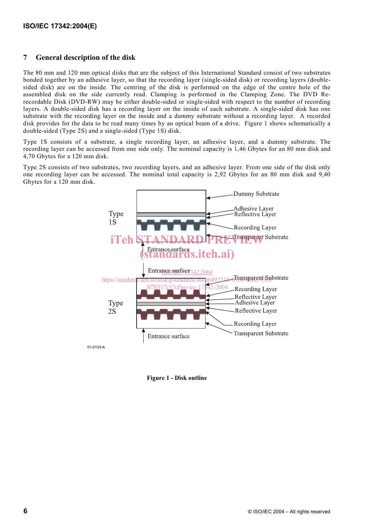# **7 General description of the disk**

The 80 mm and 120 mm optical disks that are the subject of this International Standard consist of two substrates bonded together by an adhesive layer, so that the recording layer (single-sided disk) or recording layers (doublesided disk) are on the inside. The centring of the disk is performed on the edge of the centre hole of the assembled disk on the side currently read. Clamping is performed in the Clamping Zone. The DVD Rerecordable Disk (DVD-RW) may be either double-sided or single-sided with respect to the number of recording layers. A double-sided disk has a recording layer on the inside of each substrate. A single-sided disk has one substrate with the recording layer on the inside and a dummy substrate without a recording layer. A recorded disk provides for the data to be read many times by an optical beam of a drive. Figure 1 shows schematically a double-sided (Type 2S) and a single-sided (Type 1S) disk.

Type 1S consists of a substrate, a single recording layer, an adhesive layer, and a dummy substrate. The recording layer can be accessed from one side only. The nominal capacity is 1,46 Gbytes for an 80 mm disk and 4,70 Gbytes for a 120 mm disk.

Type 2S consists of two substrates, two recording layers, and an adhesive layer. From one side of the disk only one recording layer can be accessed. The nominal total capacity is 2,92 Gbytes for an 80 mm disk and 9,40 Gbytes for a 120 mm disk.



01-0103-A

**Figure 1 - Disk outline**